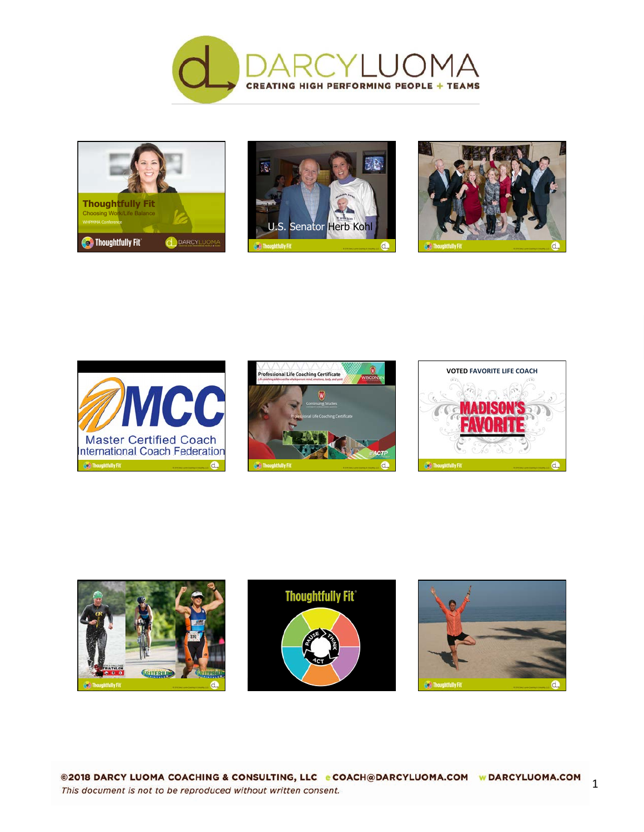













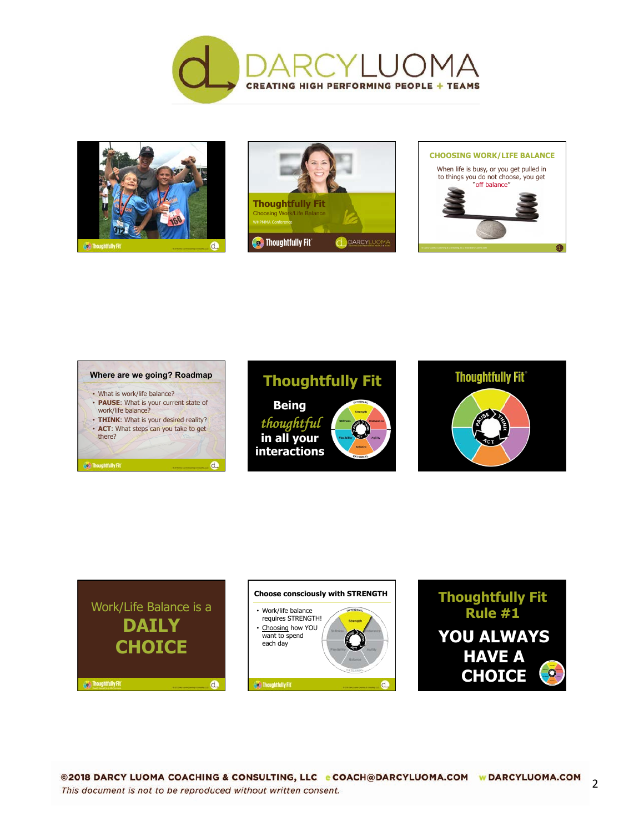







## **Where are we going? Roadmap**  • What is work/life balance? • **PAUSE**: What is your current state of work/life balance? • **THINK**: What is your desired reality? • **ACT**: What steps can you take to get there?

 $\mathbf d$ 

ø





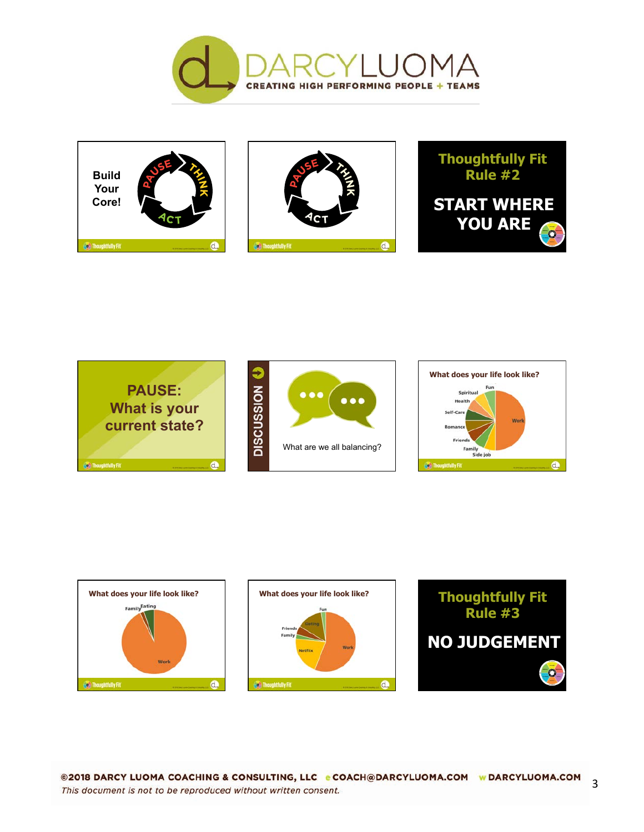









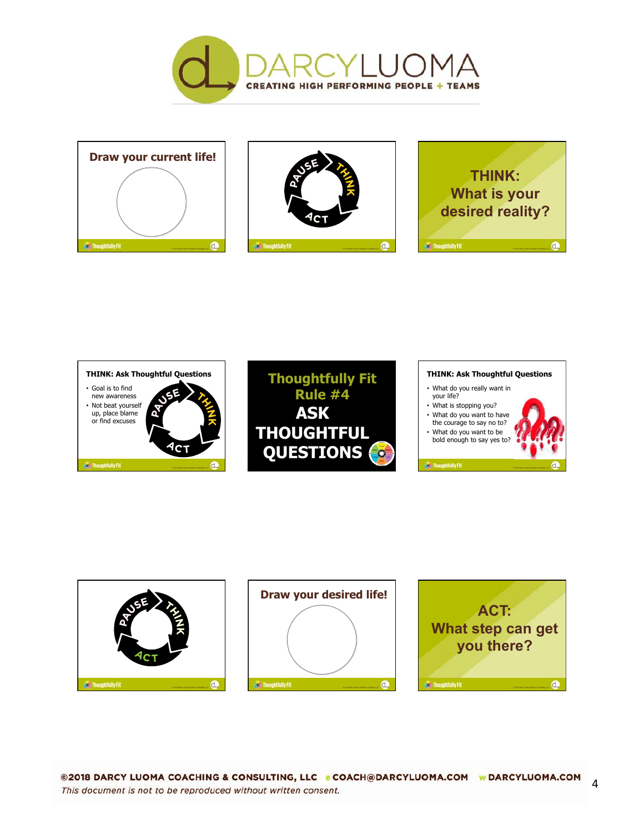













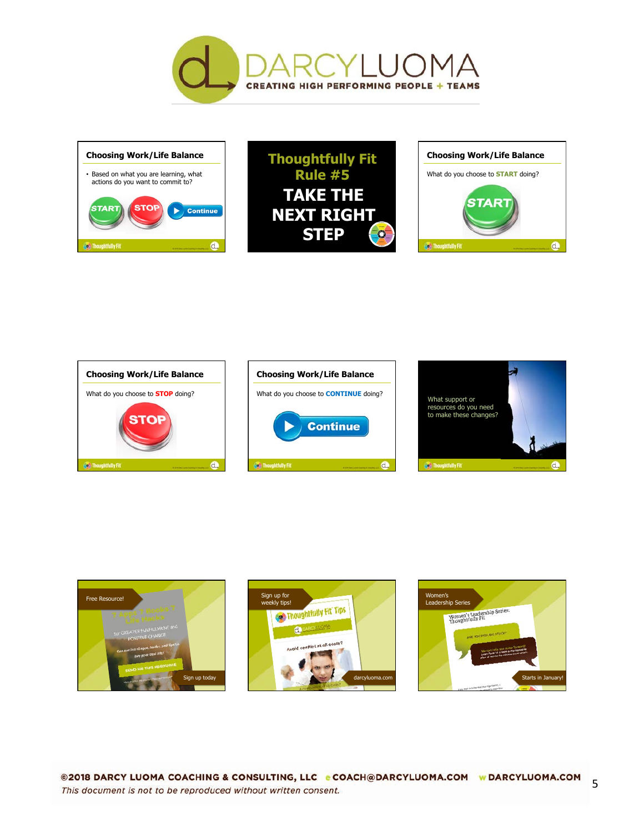